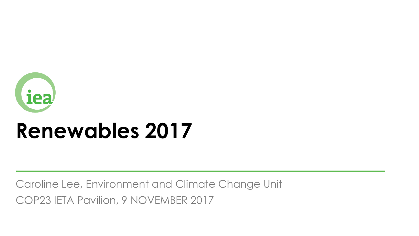

# **Renewables 2017**

Caroline Lee, Environment and Climate Change Unit COP23 IETA Pavilion, 9 NOVEMBER 2017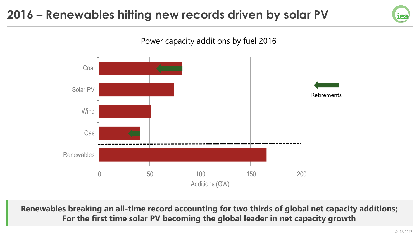#### **2016 – Renewables hitting new records driven by solar PV**





**Renewables breaking an all-time record accounting for two thirds of global net capacity additions; For the first time solar PV becoming the global leader in net capacity growth**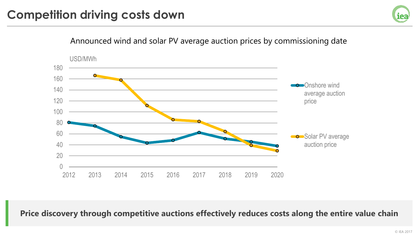

**Price discovery through competitive auctions effectively reduces costs along the entire value chain**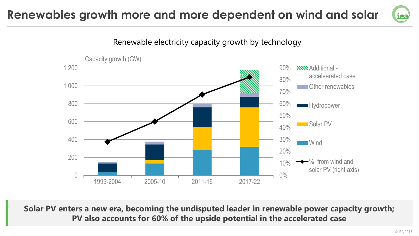## **Renewables growth more and more dependent on wind and solar**





**Solar PV enters a new era, becoming the undisputed leader in renewable power capacity growth; PV also accounts for 60% of the upside potential in the accelerated case**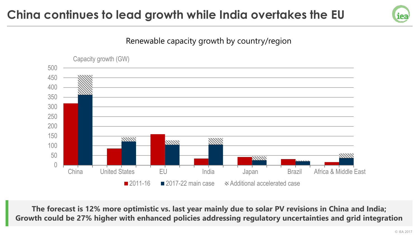# **China continues to lead growth while India overtakes the EU**







**The forecast is 12% more optimistic vs. last year mainly due to solar PV revisions in China and India; Growth could be 27% higher with enhanced policies addressing regulatory uncertainties and grid integration**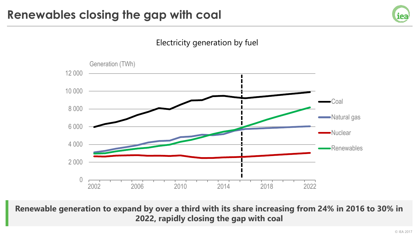



**Renewable generation to expand by over a third with its share increasing from 24% in 2016 to 30% in 2022, rapidly closing the gap with coal**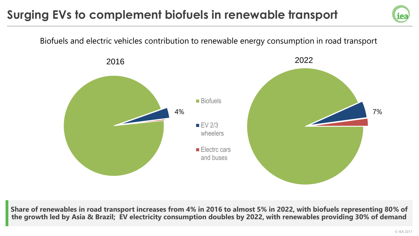# **Surging EVs to complement biofuels in renewable transport**



**Share of renewables in road transport increases from 4% in 2016 to almost 5% in 2022, with biofuels representing 80% of the growth led by Asia & Brazil; EV electricity consumption doubles by 2022, with renewables providing 30% of demand**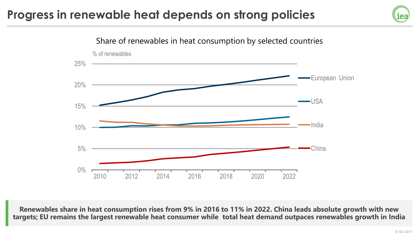### **Progress in renewable heat depends on strong policies**





**Renewables share in heat consumption rises from 9% in 2016 to 11% in 2022. China leads absolute growth with new targets; EU remains the largest renewable heat consumer while total heat demand outpaces renewables growth in India**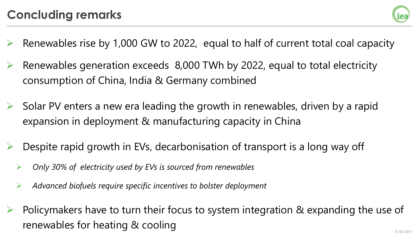

- Renewables rise by 1,000 GW to 2022, equal to half of current total coal capacity
- Renewables generation exceeds 8,000 TWh by 2022, equal to total electricity consumption of China, India & Germany combined
- Solar PV enters a new era leading the growth in renewables, driven by a rapid expansion in deployment & manufacturing capacity in China
- Despite rapid growth in EVs, decarbonisation of transport is a long way off
	- *Only 30% of electricity used by EVs is sourced from renewables*
	- *Advanced biofuels require specific incentives to bolster deployment*
- $\triangleright$  Policymakers have to turn their focus to system integration & expanding the use of renewables for heating & cooling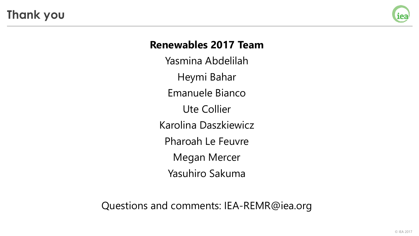**Thank you**



#### **Renewables 2017 Team**

Yasmina Abdelilah Heymi Bahar Emanuele Bianco Ute Collier Karolina Daszkiewicz Pharoah Le Feuvre Megan Mercer Yasuhiro Sakuma

Questions and comments: IEA-REMR@iea.org